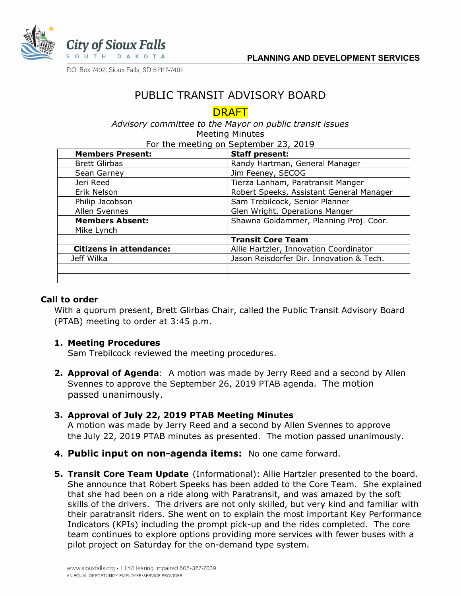

P.O. Box 7402, Sioux Falls, SD 57117-7402

# PUBLIC TRANSIT ADVISORY BOARD

## DRAFT

*Advisory committee to the Mayor on public transit issues* Meeting Minutes For the meeting on Sentember 23, 2019

| <b>Members Present:</b>        | <b>Staff present:</b>                    |
|--------------------------------|------------------------------------------|
| <b>Brett Glirbas</b>           | Randy Hartman, General Manager           |
| Sean Garney                    | Jim Feeney, SECOG                        |
| Jeri Reed                      | Tierza Lanham, Paratransit Manger        |
| Erik Nelson                    | Robert Speeks, Assistant General Manager |
| Philip Jacobson                | Sam Trebilcock, Senior Planner           |
| Allen Svennes                  | Glen Wright, Operations Manger           |
| <b>Members Absent:</b>         | Shawna Goldammer, Planning Proj. Coor.   |
| Mike Lynch                     |                                          |
|                                | <b>Transit Core Team</b>                 |
| <b>Citizens in attendance:</b> | Allie Hartzler, Innovation Coordinator   |
| Jeff Wilka                     | Jason Reisdorfer Dir. Innovation & Tech. |
|                                |                                          |
|                                |                                          |

#### **Call to order**

With a quorum present, Brett Glirbas Chair, called the Public Transit Advisory Board (PTAB) meeting to order at 3:45 p.m.

#### **1. Meeting Procedures**

Sam Trebilcock reviewed the meeting procedures.

**2. Approval of Agenda**: A motion was made by Jerry Reed and a second by Allen Svennes to approve the September 26, 2019 PTAB agenda. The motion passed unanimously.

## **3. Approval of July 22, 2019 PTAB Meeting Minutes**

A motion was made by Jerry Reed and a second by Allen Svennes to approve the July 22, 2019 PTAB minutes as presented. The motion passed unanimously.

- **4. Public input on non-agenda items:** No one came forward.
- **5. Transit Core Team Update** (Informational): Allie Hartzler presented to the board. She announce that Robert Speeks has been added to the Core Team. She explained that she had been on a ride along with Paratransit, and was amazed by the soft skills of the drivers. The drivers are not only skilled, but very kind and familiar with their paratransit riders. She went on to explain the most important Key Performance Indicators (KPIs) including the prompt pick-up and the rides completed. The core team continues to explore options providing more services with fewer buses with a pilot project on Saturday for the on-demand type system.